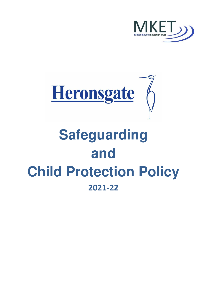



# **Safeguarding and Child Protection Policy 2021-22**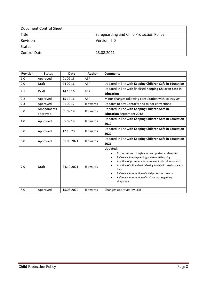| Document Control Sheet |                                          |
|------------------------|------------------------------------------|
| Title                  | Safeguarding and Child Protection Policy |
| Revision               | Version 6.0                              |
| Status                 |                                          |
| <b>Control Date</b>    | 13.08.2021                               |

| <b>Revision</b> | <b>Status</b>          | <b>Date</b> | <b>Author</b>   | <b>Comments</b>                                                                                                                                                                                                                                                                                                                                                                                                                            |  |
|-----------------|------------------------|-------------|-----------------|--------------------------------------------------------------------------------------------------------------------------------------------------------------------------------------------------------------------------------------------------------------------------------------------------------------------------------------------------------------------------------------------------------------------------------------------|--|
| 1.0             | Approved               | 01 09 15    | AEP             |                                                                                                                                                                                                                                                                                                                                                                                                                                            |  |
| 2.0             | Draft                  | 24 09 16    | AEP             | Updated in line with Keeping Children Safe in Education                                                                                                                                                                                                                                                                                                                                                                                    |  |
| 2.1             | <b>Draft</b>           | 14 10 16    | AEP             | Updated in line with finalised Keeping Children Safe in<br><b>Education</b>                                                                                                                                                                                                                                                                                                                                                                |  |
| 2.2             | Approved               | 15 12 16    | AEP             | Minor changes following consultation with colleagues                                                                                                                                                                                                                                                                                                                                                                                       |  |
| 2.3             | Approved               | 01 09 17    | JEdwards        | Updates to Key Contacts and minor corrections                                                                                                                                                                                                                                                                                                                                                                                              |  |
| 3.0             | Amendments<br>approved | 01 09 18    | <b>JEdwards</b> | Updated in line with Keeping Children Safe in<br><b>Education</b> September 2018                                                                                                                                                                                                                                                                                                                                                           |  |
| 4.0             | Approved               | 05 09 19    | JEdwards        | Updated in line with Keeping Children Safe in Education<br>2019                                                                                                                                                                                                                                                                                                                                                                            |  |
| 5.0             | Approved               | 12 10 20    | JEdwards        | Updated in line with Keeping Children Safe in Education<br>2020                                                                                                                                                                                                                                                                                                                                                                            |  |
| 6.0             | Approved               | 01.09.2021  | JEdwards        | Updated in line with Keeping Children Safe in Education<br>2021                                                                                                                                                                                                                                                                                                                                                                            |  |
| 7.0             | <b>Draft</b>           | 24.10.2021  | JEdwards        | Updated:<br>Correct version of legislation and guidance referenced<br>Reference to safeguarding and remote learning<br>$\bullet$<br>Addition of procedure for non-recent (historic) concerns<br>$\bullet$<br>Addition of a flowchart referring to child in need and early<br>٠<br>help<br>Reference to retention of child protection records<br>$\bullet$<br>Reference to retention of staff records regarding<br>$\bullet$<br>allegations |  |
| 8.0             | Approved               | 15.03.2022  | JEdwards        | Changes approved by LGB                                                                                                                                                                                                                                                                                                                                                                                                                    |  |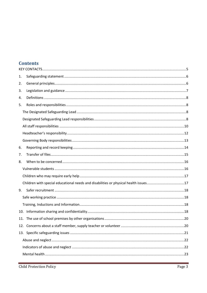# **Contents**

| 1.  |  |  |  |  |
|-----|--|--|--|--|
| 2.  |  |  |  |  |
| 3.  |  |  |  |  |
| 4.  |  |  |  |  |
| 5.  |  |  |  |  |
|     |  |  |  |  |
|     |  |  |  |  |
|     |  |  |  |  |
|     |  |  |  |  |
|     |  |  |  |  |
| 6.  |  |  |  |  |
| 7.  |  |  |  |  |
| 8.  |  |  |  |  |
|     |  |  |  |  |
|     |  |  |  |  |
|     |  |  |  |  |
| 9.  |  |  |  |  |
|     |  |  |  |  |
|     |  |  |  |  |
| 10. |  |  |  |  |
|     |  |  |  |  |
|     |  |  |  |  |
|     |  |  |  |  |
|     |  |  |  |  |
|     |  |  |  |  |
|     |  |  |  |  |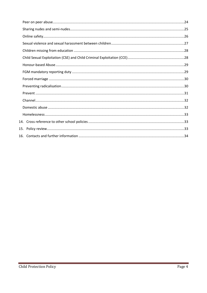| 15. |  |
|-----|--|
|     |  |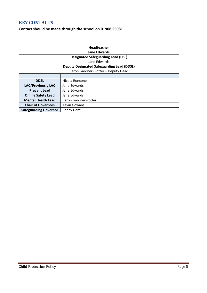# <span id="page-4-0"></span>**KEY CONTACTS**

# **Contact should be made through the school on 01908 550811**

| Headteacher                                       |                      |  |  |  |  |  |
|---------------------------------------------------|----------------------|--|--|--|--|--|
| Jane Edwards                                      |                      |  |  |  |  |  |
| <b>Designated Safeguarding Lead (DSL)</b>         |                      |  |  |  |  |  |
| Jane Edwards                                      |                      |  |  |  |  |  |
| <b>Deputy Designated Safeguarding Lead (DDSL)</b> |                      |  |  |  |  |  |
| Caron Gardner-Potter - Deputy Head                |                      |  |  |  |  |  |
|                                                   |                      |  |  |  |  |  |
| <b>DDSL</b>                                       | Nicola Roncone       |  |  |  |  |  |
| <b>LAC/Previously LAC</b>                         | Jane Edwards         |  |  |  |  |  |
| <b>Prevent Lead</b>                               | Jane Edwards         |  |  |  |  |  |
| <b>Online Safety Lead</b>                         | Jane Edwards         |  |  |  |  |  |
| <b>Mental Health Lead</b>                         | Caron Gardner-Potter |  |  |  |  |  |
| <b>Chair of Governors</b>                         | <b>Kevin Gowans</b>  |  |  |  |  |  |
| <b>Safeguarding Governor</b>                      | Penny Dent           |  |  |  |  |  |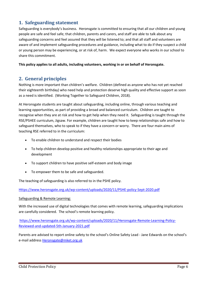# <span id="page-5-0"></span>**1. Safeguarding statement**

Safeguarding is everybody's business. Heronsgate is committed to ensuring that all our children and young people are safe and feel safe; that children, parents and carers, and staff are able to talk about any safeguarding concerns and feel assured that they will be listened to; and that all staff and volunteers are aware of and implement safeguarding procedures and guidance, including what to do if they suspect a child or young person may be experiencing, or at risk of, harm. We expect everyone who works in our school to share this commitment.

**This policy applies to all adults, including volunteers, working in or on behalf of Heronsgate.** 

# <span id="page-5-1"></span>**2. General principles**

Nothing is more important than children's welfare. Children (defined as anyone who has not yet reached their eighteenth birthday) who need help and protection deserve high quality and effective support as soon as a need is identified. (Working Together to Safeguard Children, 2018).

At Heronsgate students are taught about safeguarding, including online, through various teaching and learning opportunities, as part of providing a broad and balanced curriculum. Children are taught to recognise when they are at risk and how to get help when they need it. Safeguarding is taught through the RSE/PSHEE curriculum, Jigsaw. For example, children are taught how to keep relationships safe and how to safeguard themselves, who to speak to if they have a concern or worry. There are four main aims of teaching RSE referred to in the curriculum:

- To enable children to understand and respect their bodies
- To help children develop positive and healthy relationships appropriate to their age and development
- To support children to have positive self-esteem and body image
- To empower them to be safe and safeguarded.

The teaching of safeguarding is also referred to in the PSHE policy.

[Https://www.heronsgate.org.uk/wp-content/uploads/2020/11/PSHE-policy-Sept-2020.pdf](https://www.heronsgate.org.uk/wp-content/uploads/2020/11/PSHE-policy-Sept-2020.pdf)

#### Safeguarding & Remote Learning:

With the increased use of digital technologies that comes with remote learning, safeguarding implications are carefully considered. The school's remote learning policy.

[https://www.heronsgate.org.uk/wp-content/uploads/2020/11/Heronsgate-Remote-Learning-Policy-](https://www.heronsgate.org.uk/wp-content/uploads/2020/11/Heronsgate-Remote-Learning-Policy-Reviewed-and-updated-5th-January-2021.pdf)[Reviewed-and-updated-5th-January-2021.pdf](https://www.heronsgate.org.uk/wp-content/uploads/2020/11/Heronsgate-Remote-Learning-Policy-Reviewed-and-updated-5th-January-2021.pdf) 

Parents are advised to report online safety to the school's Online Safety Lead - Jane Edwards on the school's e-mail address [Heronsgate@mket.org.uk](mailto:Heronsgate@mket.org.uk)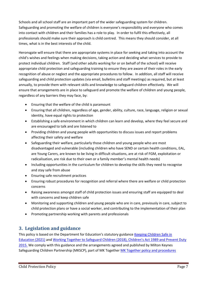Schools and all school staff are an important part of the wider safeguarding system for children. Safeguarding and promoting the welfare of children is everyone's responsibility and everyone who comes into contact with children and their families has a role to play. In order to fulfil this effectively, all professionals should make sure their approach is child centred. This means they should consider, at all times, what is in the best interests of the child.

Heronsgate will ensure that there are appropriate systems in place for seeking and taking into account the child's wishes and feelings when making decisions, taking action and deciding what services to provide to protect individual children. Staff (and other adults working for or on behalf of the school) will receive appropriate child protection and safeguarding training to ensure they are aware of their roles in the early recognition of abuse or neglect and the appropriate procedures to follow. In addition, all staff will receive safeguarding and child protection updates (via email, bulletins and staff meetings) as required, but at least annually, to provide them with relevant skills and knowledge to safeguard children effectively. We will ensure that arrangements are in place to safeguard and promote the welfare of children and young people, regardless of any barriers they may face, by:

- Ensuring that the welfare of the child is paramount
- Ensuring that all children, regardless of age, gender, ability, culture, race, language, religion or sexual identity, have equal rights to protection
- Establishing a safe environment in which children can learn and develop, where they feel secure and are encouraged to talk and are listened to
- Providing children and young people with opportunities to discuss issues and report problems affecting their safety and welfare
- Safeguarding their welfare, particularly those children and young people who are most disadvantaged and vulnerable (including children who have SEND or certain health conditions, EAL, are Young Carers, are known to be living in difficult situations, are at risk of FGM, exploitation or radicalisation, are risk due to their own or a family member's mental health needs)
- Including opportunities in the curriculum for children to develop the skills they need to recognise and stay safe from abuse
- Ensuring safe recruitment practices
- Ensuring robust procedures for recognition and referral where there are welfare or child protection concerns
- Raising awareness amongst staff of child protection issues and ensuring staff are equipped to deal with concerns and keep children safe
- Monitoring and supporting children and young people who are in care, previously in care, subject to child protection plans or have a social worker, and contributing to the implementation of their plan
- Promoting partnership working with parents and professionals

# <span id="page-6-0"></span>**3. Legislation and guidance**

This policy is based on the Department for Education's statutory guidance Keeping Children Safe in [Education \(2021\)](https://assets.publishing.service.gov.uk/government/uploads/system/uploads/attachment_data/file/1007260/Keeping_children_safe_in_education_2021.pdf) and [Working Together to Safeguard Children \(2018\),](https://www.gov.uk/government/publications/working-together-to-safeguard-children--2) Children's Act 1989 and Prevent Duty 2015. We comply with this guidance and the arrangements agreed and published by Milton Keynes Safeguarding Children Partnership (MKSCP), part of MK Togethe[r MK Together policy and procedures](http://www.mkscb.org/policy-procedures/)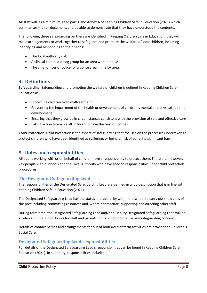All staff will, as a minimum, read part 1 and Annex A of Keeping Children Safe in Education (2021) which summarises the full document, and be able to demonstrate that they have understood the contents.

The following three safeguarding partners are identified in Keeping Children Safe in Education; they will make arrangements to work together to safeguard and promote the welfare of local children, including identifying and responding to their needs:

- The local authority (LA)
- A clinical commissioning group for an area within the LA
- The chief officer of police for a police area in the LA area

# <span id="page-7-0"></span>**4. Definitions**

**Safeguarding:** Safeguarding and promoting the welfare of children is defined in Keeping Children Safe in Education as:

- Protecting children from maltreatment
- Preventing the impairment of the health or development of children's mental and physical health or development
- Ensuring that they grow up in circumstances consistent with the provision of safe and effective care
- Taking action to enable all children to have the best outcomes

**Child Protection:** Child Protection is the aspect of safeguarding that focuses on the processes undertaken to protect children who have been identified as suffering, or being at risk of suffering significant harm.

# <span id="page-7-1"></span>**5. Roles and responsibilities**

All adults working with or on behalf of children have a responsibility to protect them. There are, however, key people within schools and the Local Authority who have specific responsibilities under child protection procedures.

# <span id="page-7-2"></span>**The Designated Safeguarding Lead**

The responsibilities of the Designated Safeguarding Lead are defined in a job description that is in line with Keeping Children Safe in Education (2021).

The Designated Safeguarding Lead has the status and authority within the school to carry out the duties of the post including committing resources and, where appropriate, supporting and directing other staff.

During term time, the Designated Safeguarding Lead and/or a Deputy Designated Safeguarding Lead will be available during school hours for staff and parents in the school to discuss any safeguarding concerns.

Details of contact names and arrangements for out of hours/out of term activities are provided to Children's Social Care.

# <span id="page-7-3"></span>**Designated Safeguarding Lead responsibilities**

Full details of the Designated Safeguarding Lead's responsibilities can be found in Keeping Children Safe in Education (2021). In summary, responsibilities include: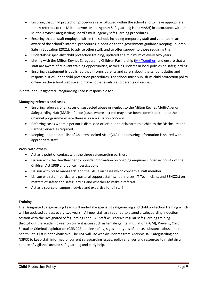- Ensuring that child protection procedures are followed within the school and to make appropriate, timely referrals to the Milton Keynes Multi-Agency Safeguarding Hub (MASH) in accordance with the Milton Keynes Safeguarding Board's multi-agency safeguarding procedures
- Ensuring that all staff employed within the school, including temporary staff and volunteers, are aware of the school's internal procedures in addition to the government guidance Keeping Children Safe in Education (2021); to advise other staff; and to offer support to those requiring this
- Undertaking specialist child protection training, updated at a minimum of every two years
- Linking with the Milton Keynes Safeguarding Children Partnership [\(MK Together\)](https://www.mktogether.co.uk/) and ensure that all staff are aware of relevant training opportunities, as well as updates in local policies on safeguarding
- Ensuring a statement is published that informs parents and carers about the school's duties and responsibilities under child protection procedures. The school must publish its child protection policy online on the school website and make copies available to parents on request

In detail the Designated Safeguarding Lead is responsible for:

#### **Managing referrals and cases**

- Ensuring referrals of all cases of suspected abuse or neglect to the Milton Keynes Multi-Agency Safeguarding Hub (MASH), Police (cases where a crime may have been committed) and to the Channel programme where there is a radicalisation concern
- Referring cases where a person is dismissed or left due to risk/harm to a child to the Disclosure and Barring Service as required
- Keeping an up to date list of Children Looked After (CLA) and ensuring information is shared with appropriate staff

#### **Work with others**

- Act as a point of contact with the three safeguarding partners
- Liaison with the Headteacher to provide information on ongoing enquiries under section 47 of the Children Act 1989 and police investigations
- Liaison with "case managers" and the LADO on cases which concern a staff member
- Liaison with staff (particularly pastoral support staff, school nurses, IT Technicians, and SENCOs) on matters of safety and safeguarding and whether to make a referral
- Act as a source of support, advice and expertise for all staff

#### **Training**

The Designated Safeguarding Leads will undertake specialist safeguarding and child protection training which will be updated at least every two years. All new staff are required to attend a safeguarding induction session with the Designated Safeguarding Lead. All staff will receive regular safeguarding training throughout the academic year on current issues such as female genital mutilation (FGM), Prevent, Child Sexual or Criminal exploitation (CSE/CCE), online safety, signs and types of abuse, substance abuse, mental health – this list is not exhaustive. The DSL will use weekly updates from Andrew Hall Safeguarding and NSPCC to keep staff informed of current safeguarding issues, policy changes and resources to maintain a culture of vigilance around safeguarding and early help.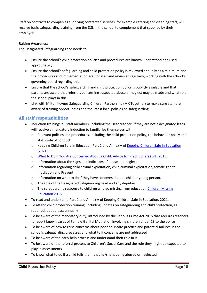Staff on contracts to companies supplying contracted services, for example catering and cleaning staff, will receive basic safeguarding training from the DSL in the school to complement that supplied by their employer.

#### **Raising Awareness**

The Designated Safeguarding Lead needs to:

- Ensure the school's child protection policies and procedures are known, understood and used appropriately
- Ensure the school's safeguarding and child protection policy is reviewed annually as a minimum and the procedures and implementation are updated and reviewed regularly, working with the school's governing board regarding this
- Ensure that the school's safeguarding and child protection policy is publicly available and that parents are aware that referrals concerning suspected abuse or neglect may be made and what role the school plays in this
- Link with Milton Keynes Safeguarding Children Partnership (MK Together) to make sure staff are aware of training opportunities and the latest local policies on safeguarding

## <span id="page-9-0"></span>**All staff responsibilities**

- Induction training: all staff members, including the Headteacher (if they are not a designated lead) will receive a mandatory induction to familiarise themselves with:
	- o Relevant policies and procedures, including the child protection policy, the behaviour policy and staff code of conduct
	- o Keeping Children Safe in Education Part 1 and Annex A of [Keeping Children Safe in Education](https://assets.publishing.service.gov.uk/government/uploads/system/uploads/attachment_data/file/1007260/Keeping_children_safe_in_education_2021.pdf)  [\(2021\)](https://assets.publishing.service.gov.uk/government/uploads/system/uploads/attachment_data/file/1007260/Keeping_children_safe_in_education_2021.pdf)
	- o [What to Do If You Are Concerned About a Child: Advice for Practitioners \(DfE, 2015\)](https://www.gov.uk/government/uploads/system/uploads/attachment_data/file/419604/What_to_do_if_you_re_worried_a_child_is_being_abused.pdf)
	- o Information about the signs and indicators of abuse and neglect
	- o Information regarding child sexual exploitation, child criminal exploitation, female genital mutilation and Prevent
	- o Information on what to do if they have concerns about a child or young person.
	- o The role of the Designated Safeguarding Lead and any deputies
	- o The safeguarding response to children who go missing from education Children Missing [Education 2016](https://assets.publishing.service.gov.uk/government/uploads/system/uploads/attachment_data/file/550416/Children_Missing_Education_-_statutory_guidance.pdf)
- To read and understand Part 1 and Annex A of Keeping Children Safe in Education, 2021.
- To attend child protection training, including updates on safeguarding and child protection, as required, but at least annually
- To be aware of the mandatory duty, introduced by the Serious Crime Act 2015 that requires teachers to report known cases of Female Genital Mutilation involving children under 18 to the police
- To be aware of how to raise concerns about poor or unsafe practice and potential failures in the school's safeguarding processes and what to if concerns are not addressed
- To be aware of the early help process and understand their role in it
- To be aware of the referral process to Children's Social Care and the role they might be expected to play in assessments
- To know what to do if a child tells them that he/she is being abused or neglected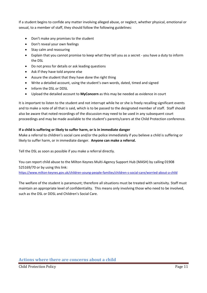If a student begins to confide any matter involving alleged abuse, or neglect, whether physical, emotional or sexual, to a member of staff, they should follow the following guidelines:

- Don't make any promises to the student
- Don't reveal your own feelings
- Stay calm and reassuring
- Explain that you cannot promise to keep what they tell you as a secret you have a duty to inform the DSL
- Do not press for details or ask leading questions
- Ask if they have told anyone else
- Assure the student that they have done the right thing
- Write a detailed account, using the student's own words, dated, timed and signed
- Inform the DSL or DDSL
- Upload the detailed account to **MyConcern** as this may be needed as evidence in court

It is important to listen to the student and not interrupt while he or she is freely recalling significant events and to make a note of all that is said, which is to be passed to the designated member of staff. Staff should also be aware that noted recordings of the discussion may need to be used in any subsequent court proceedings and may be made available to the student's parents/carers at the Child Protection conference.

#### **If a child is suffering or likely to suffer harm, or is in immediate danger**

Make a referral to children's social care and/or the police immediately if you believe a child is suffering or likely to suffer harm, or in immediate danger. **Anyone can make a referral.**

Tell the DSL as soon as possible if you make a referral directly.

You can report child abuse to the Milton Keynes Multi-Agency Support Hub (MASH) by calling 01908 525169/70 or by using this link:

<https://www.milton-keynes.gov.uk/children-young-people-families/children-s-social-care/worried-about-a-child>

The welfare of the student is paramount; therefore all situations must be treated with sensitivity. Staff must maintain an appropriate level of confidentiality. This means only involving those who need to be involved, such as the DSL or DDSL and Children's Social Care.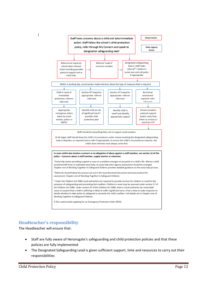

# <span id="page-11-0"></span>**Headteacher's responsibility**

The Headteacher will ensure that:

- Staff are fully aware of Heronsgate's safeguarding and child protection policies and that these policies are fully implemented
- The Designated Safeguarding Lead is given sufficient support, time and resources to carry out their responsibilities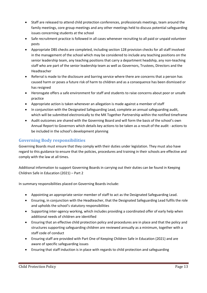- Staff are released to attend child protection conferences, professionals meetings, team around the family meetings, core group meetings and any other meetings held to discuss potential safeguarding issues concerning students at the school
- Safe recruitment practice is followed in all cases whenever recruiting to all paid or unpaid volunteer posts
- Appropriate DBS checks are completed, including section 128 provision checks for all staff involved in the management of the school which may be considered to include any teaching positions on the senior leadership team, any teaching positions that carry a department headship, any non-teaching staff who are part of the senior leadership team as well as Governors, Trustees, Directors and the Headteacher
- Referral is made to the disclosure and barring service where there are concerns that a person has caused harm or poses a future risk of harm to children and as a consequence has been dismissed or has resigned
- Heronsgate offers a safe environment for staff and students to raise concerns about poor or unsafe practice
- Appropriate action is taken whenever an allegation is made against a member of staff
- In conjunction with the Designated Safeguarding Lead, complete an annual safeguarding audit, which will be submitted electronically to the MK Together Partnership within the notified timeframe
- Audit outcomes are shared with the Governing Board and will form the basis of the school's own Annual Report to Governors which details key actions to be taken as a result of the audit - actions to be included in the school's development planning

# <span id="page-12-0"></span>**Governing Body responsibilities**

Governing Boards must ensure that they comply with their duties under legislation. They must also have regard to this guidance to ensure that the policies, procedures and training in their schools are effective and comply with the law at all times.

Additional information to support Governing Boards in carrying out their duties can be found in Keeping Children Safe in Education (2021) – Part 2

In summary responsibilities placed on Governing Boards include:

- Appointing an appropriate senior member of staff to act as the Designated Safeguarding Lead.
- Ensuring, in conjunction with the Headteacher, that the Designated Safeguarding Lead fulfils the role and upholds the school's statutory responsibilities
- Supporting inter-agency working, which includes providing a coordinated offer of early help when additional needs of children are identified
- Ensuring that an effective child protection policy and procedures are in place and that the policy and structures supporting safeguarding children are reviewed annually as a minimum, together with a staff code of conduct
- Ensuring staff are provided with Part One of Keeping Children Safe in Education (2021) and are aware of specific safeguarding issues
- Ensuring that staff induction is in place with regards to child protection and safeguarding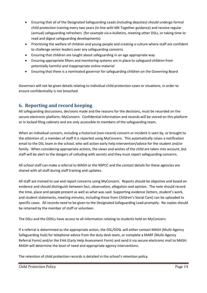- Ensuring that all of the Designated Safeguarding Leads (including deputies) should undergo formal child protection training every two years (in line with MK Together guidance) and receive regular (annual) safeguarding refreshers (for example via e-bulletins, meeting other DSLs, or taking time to read and digest safeguarding developments)
- Prioritising the welfare of children and young people and creating a culture where staff are confident to challenge senior leaders over any safeguarding concerns
- Ensuring that children are taught about safeguarding in an age appropriate way
- Ensuring appropriate filters and monitoring systems are in place to safeguard children from potentially harmful and inappropriate online material
- Ensuring that there is a nominated governor for safeguarding children on the Governing Board

Governors will not be given details relating to individual child protection cases or situations, in order to ensure confidentiality is not breached.

# <span id="page-13-0"></span>**6. Reporting and record keeping**

All safeguarding discussions, decisions made and the reasons for the decisions, must be recorded on the secure electronic platform, MyConcern. Confidential information and records will be stored on this platform or in locked filing cabinets and are only accessible to members of the safeguarding team.

When an individual concern, including a historical (non-recent) concern or incident is seen by, or brought to the attention of, a member of staff it is reported using MyConcern. This automatically raises a notification email to the DSL team in the school, who will action early help intervention/advice for the student and/or family. When considering appropriate actions, the views and wishes of the child are taken into account, but staff will be alert to the dangers of colluding with secrets and they must report safeguarding concerns.

All school staff can make a referral to MASH or the NSPCC and the contact details for these agencies are shared with all staff during staff training and updates.

All staff are trained to use and report concerns using MyConcern. Reports should be objective and based on evidence and should distinguish between fact, observation, allegation and opinion. The note should record the time, place and people present as well as what was said. Supporting evidence (letters, student's work, and student statements, meeting minutes, including those from Children's Social Care) can be uploaded to specific cases. All records need to be given to the Designated Safeguarding Lead promptly. No copies should be retained by the member of staff or volunteer.

The DSLs and the DDSLs have access to all information relating to students held on MyConcern.

If a referral is determined as the appropriate action, the DSL/DDSL will either contact MASH (Multi-Agency Safeguarding Hub) for telephone advice from the duty desk team, or complete a MARF (Multi-Agency Referral Form) and/or the EHA (Early Help Assessment Form) and send it via secure electronic mail to MASH. MASH will determine the level of need and appropriate agency interventions.

The retention of child protection records is detailed in the school's retention policy.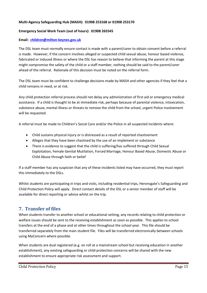#### **Multi-Agency Safeguarding Hub (MASH): 01908 253168 or 01908 253170**

#### **Emergency Social Work Team (out of hours): 01908 265545**

#### **Email: [children@milton-keynes.gov.uk](mailto:children@milton-keynes.gov.uk)**

The DSL team must normally ensure contact is made with a parent/carer to obtain consent before a referral is made. However, if the concern involves alleged or suspected child sexual abuse, honour based violence, fabricated or induced illness or where the DSL has reason to believe that informing the parent at this stage might compromise the safety of the child or a staff member, nothing should be said to the parent/carer ahead of the referral. Rationale of this decision must be noted on the referral form.

The DSL team must be confident to challenge decisions made by MASH and other agencies if they feel that a child remains in need, or at risk.

Any child protection referral process should not delay any administration of first aid or emergency medical assistance. If a child is thought to be at immediate risk, perhaps because of parental violence, intoxication, substance abuse, mental illness or threats to remove the child from the school, urgent Police involvement will be requested.

A referral must be made to Children's Social Care and/or the Police in all suspected incidents where:

- Child sustains physical injury or is distressed as a result of reported chastisement
- Alleges that they have been chastised by the use of an implement or substance
- There is evidence to suggest that the child is suffering/has suffered through Child Sexual Exploitation, Female Genital Mutilation, Forced Marriage, Honour Based Abuse, Domestic Abuse or Child Abuse through faith or belief

If a staff member has any suspicion that any of these incidents listed may have occurred, they must report this immediately to the DSLs.

Whilst students are participating in trips and visits, including residential trips, Heronsgate's Safeguarding and Child Protection Policy will apply. Direct contact details of the DSL or a senior member of staff will be available for direct reporting or advice whilst on the trip.

# <span id="page-14-0"></span>**7. Transfer of files**

When students transfer to another school or educational setting, any records relating to child protection or welfare issues should be sent to the receiving establishment as soon as possible. This applies to school transfers at the end of a phase and at other times throughout the school year. This file should be transferred separately from the main student file. Files will be transferred electronically between schools using MyConcern where possible.

When students are dual registered (e.g. on roll at a mainstream school but receiving education in another establishment), any existing safeguarding or child protection concerns will be shared with the new establishment to ensure appropriate risk assessment and support.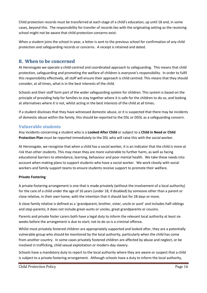Child protection records must be transferred at each stage of a child's education, up until 18 and, in some cases, beyond this. The responsibility for transfer of records lies with the originating setting as the receiving school might not be aware that child protection concerns exist.

When a student joins the school in-year, a letter is sent to the previous school for confirmation of any child protection and safeguarding records or concerns. A receipt is retained and dated.

# <span id="page-15-0"></span>**8. When to be concerned**

At Heronsgate we operate a child-centred and coordinated approach to safeguarding. This means that child protection, safeguarding and promoting the welfare of children is everyone's responsibility. In order to fulfil this responsibility effectively, all staff will ensure their approach is child centred. This means that they should consider, at all times, what is in the best interests of the child.

Schools and their staff form part of the wider safeguarding system for children. This system is based on the principle of providing help for families to stay together where it is safe for the children to do so, and looking at alternatives where it is not, whilst acting in the best interests of the child at all times**.**

If a student discloses that they have witnessed domestic abuse, or it is suspected that there may be incidents of domestic abuse within the family, this should be reported to the DSL or DDSL as a safeguarding concern.

# <span id="page-15-1"></span>**Vulnerable students**

Any incidents concerning a student who is a **Looked After Child** or subject to a **Child in Need or Child Protection Plan** must be reported immediately to the DSL who will raise this with the social worker.

At Heronsgate, we recognise that when a child has a social worker, it is an indicator that the child is more at risk than other students. This may mean they are more vulnerable to further harm, as well as facing educational barriers to attendance, learning, behaviour and poor mental health. We take these needs into account when making plans to support students who have a social worker. We work closely with social workers and family support teams to ensure students receive support to promote their welfare.

## **Private Fostering**

A private fostering arrangement is one that is made privately (without the involvement of a local authority) for the care of a child under the age of 16 years (under 18, if disabled) by someone other than a parent or close relative, in their own home, with the intention that it should last for 28 days or more.

A close family relative is defined as a 'grandparent, brother, sister, uncle or aunt' and includes half-siblings and step-parents; it does not include great-aunts or uncles, great grandparents or cousins.

Parents and private foster carers both have a legal duty to inform the relevant local authority at least six weeks before the arrangement is due to start; not to do so is a criminal offence.

Whilst most privately fostered children are appropriately supported and looked after, they are a potentially vulnerable group who should be monitored by the local authority, particularly when the child has come from another country. In some cases privately fostered children are affected by abuse and neglect, or be involved in trafficking, child sexual exploitation or modern-day slavery.

Schools have a mandatory duty to report to the local authority where they are aware or suspect that a child is subject to a private fostering arrangement. Although schools have a duty to inform the local authority,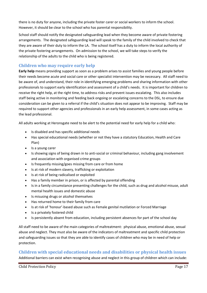there is no duty for anyone, including the private foster carer or social workers to inform the school. However, it should be clear to the school who has parental responsibility.

School staff should notify the designated safeguarding lead when they become aware of private fostering arrangements. The designated safeguarding lead will speak to the family of the child involved to check that they are aware of their duty to inform the LA. The school itself has a duty to inform the local authority of the private fostering arrangements. On admission to the school, we will take steps to verify the relationship of the adults to the child who is being registered.

# <span id="page-16-0"></span>**Children who may require early help**

**Early help** means providing support as soon as a problem arises to assist families and young people before their needs become acute and social care or other specialist intervention may be necessary. All staff need to be aware of, and understand, their role in identifying emerging problems and sharing information with other professionals to support early identification and assessment of a child's needs. It is important for children to receive the right help, at the right time, to address risks and prevent issues escalating. This also includes staff being active in monitoring and feeding back ongoing or escalating concerns to the DSL, to ensure due consideration can be given to a referral if the child's situation does not appear to be improving. Staff may be required to support other agencies and professionals in an early help assessment, in some cases acting as the lead professional.

All adults working at Heronsgate need to be alert to the potential need for early help for a child who:

- Is disabled and has specific additional needs
- Has special educational needs (whether or not they have a statutory Education, Health and Care Plan)
- Is a young carer
- Is showing signs of being drawn in to anti-social or criminal behaviour, including gang involvement and association with organised crime groups
- Is frequently missing/goes missing from care or from home
- Is at risk of modern slavery, trafficking or exploitation
- Is at risk of being radicalised or exploited
- Has a family member in prison, or is affected by parental offending
- Is in a family circumstance presenting challenges for the child, such as drug and alcohol misuse, adult mental health issues and domestic abuse
- Is misusing drugs or alcohol themselves
- Has returned home to their family from care
- Is at risk of 'honour'-based abuse such as Female genital mutilation or Forced Marriage
- Is a privately fostered child
- Is persistently absent from education, including persistent absences for part of the school day

All staff need to be aware of the main categories of maltreatment: physical abuse, emotional abuse, sexual abuse and neglect. They must also be aware of the indicators of maltreatment and specific child protection and safeguarding issues so that they are able to identify cases of children who may be in need of help or protection.

# <span id="page-16-1"></span>**Children with special educational needs and disabilities or physical health issues**

Additional barriers can exist when recognising abuse and neglect in this group of children which can include: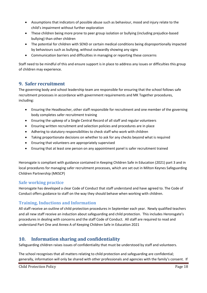- Assumptions that indicators of possible abuse such as behaviour, mood and injury relate to the child's impairment without further exploration
- These children being more prone to peer group isolation or bullying (including prejudice-based bullying) than other children
- The potential for children with SEND or certain medical conditions being disproportionally impacted by behaviours such as bullying, without outwardly showing any signs
- Communication barriers and difficulties in managing or reporting these concerns

Staff need to be mindful of this and ensure support is in place to address any issues or difficulties this group of children may experience.

# <span id="page-17-0"></span>**9. Safer recruitment**

The governing body and school leadership team are responsible for ensuring that the school follows safe recruitment processes in accordance with government requirements and MK Together procedures, including:

- Ensuring the Headteacher, other staff responsible for recruitment and one member of the governing body completes safer recruitment training
- Ensuring the upkeep of a Single Central Record of all staff and regular volunteers
- Ensuring written recruitment and selection policies and procedures are in place
- Adhering to statutory responsibilities to check staff who work with children
- Taking proportionate decisions on whether to ask for any checks beyond what is required
- Ensuring that volunteers are appropriately supervised
- Ensuring that at least one person on any appointment panel is safer recruitment trained

Heronsgate is compliant with guidance contained in Keeping Children Safe in Education (2021) part 3 and in local procedures for managing safer recruitment processes, which are set out in Milton Keynes Safeguarding Children Partnership (MKSCP)

# <span id="page-17-1"></span>**Safe working practice**

Heronsgate has developed a clear Code of Conduct that staff understand and have agreed to. The Code of Conduct offers guidance to staff on the way they should behave when working with children.

# <span id="page-17-2"></span>**Training, Inductions and Information**

All staff receive an outline of child protection procedures in September each year. Newly qualified teachers and all new staff receive an induction about safeguarding and child protection. This includes Heronsgate's procedures in dealing with concerns and the staff Code of Conduct. All staff are required to read and understand Part One and Annex A of Keeping Children Safe in Education 2021

# <span id="page-17-3"></span>**10. Information sharing and confidentiality**

Safeguarding children raises issues of confidentiality that must be understood by staff and volunteers.

The school recognises that all matters relating to child protection and safeguarding are confidential; generally, information will only be shared with other professionals and agencies with the family's consent. If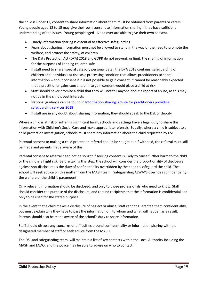the child is under 12, consent to share information about them must be obtained from parents or carers. Young people aged 12 to 15 may give their own consent to information sharing if they have sufficient understanding of the issues. Young people aged 16 and over are able to give their own consent.

- Timely information sharing is essential to effective safeguarding
- Fears about sharing information must not be allowed to stand in the way of the need to promote the welfare, and protect the safety, of children
- The Data Protection Act (DPA) 2018 and GDPR do not prevent, or limit, the sharing of information for the purposes of keeping children safe
- If staff need to share 'special category personal data', the DPA 2018 contains 'safeguarding of children and individuals at risk' as a processing condition that allows practitioners to share information without consent if it is not possible to gain consent, it cannot be reasonably expected that a practitioner gains consent, or if to gain consent would place a child at risk
- Staff should never promise a child that they will not tell anyone about a report of abuse, as this may not be in the child's best interests
- National guidance can be found in Information sharing: advice for practitioners providing safeguarding services 2018
- If staff are in any doubt about sharing information, they should speak to the DSL or deputy

Where a child is at risk of suffering significant harm, schools and settings have a legal duty to share this information with Children's Social Care and make appropriate referrals. Equally, where a child is subject to a child protection investigation, schools must share any information about the child requested by CSC.

Parental consent to making a child protection referral should be sought but if withheld, the referral must still be made and parents made aware of this.

Parental consent to referral need not be sought if seeking consent is likely to cause further harm to the child or the child is a flight risk. Before taking this step, the school will consider the proportionality of disclosure against non-disclosure: is the duty of confidentiality overridden by the need to safeguard the child. The school will seek advice on this matter from the MASH team. Safeguarding ALWAYS overrides confidentiality: the welfare of the child is paramount.

Only relevant information should be disclosed, and only to those professionals who need to know. Staff should consider the purpose of the disclosure, and remind recipients that the information is confidential and only to be used for the stated purpose.

In the event that a child makes a disclosure of neglect or abuse, staff cannot guarantee them confidentiality, but must explain why they have to pass the information on, to whom and what will happen as a result. Parents should also be made aware of the school's duty to share information.

Staff should discuss any concerns or difficulties around confidentiality or information sharing with the designated member of staff or seek advice from the MASH.

The DSL and safeguarding team, will maintain a list of key contacts within the Local Authority including the MASH and LADO; and the police may be able to advise on who to contact.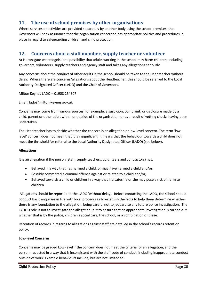# <span id="page-19-0"></span>**11. The use of school premises by other organisations**

Where services or activities are provided separately by another body using the school premises, the Governors will seek assurance that the organisation concerned has appropriate policies and procedures in place in regard to safeguarding children and child protection.

# <span id="page-19-1"></span>**12. Concerns about a staff member, supply teacher or volunteer**

At Heronsgate we recognise the possibility that adults working in the school may harm children, including governors, volunteers, supply teachers and agency staff and takes any allegations seriously.

Any concerns about the conduct of other adults in the school should be taken to the Headteacher without delay. Where there are concerns/allegations about the Headteacher, this should be referred to the Local Authority Designated Officer (LADO) and the Chair of Governors.

Milton Keynes LADO – 01908 254307

Email: lado@milton-keynes.gov.uk

Concerns may come from various sources, for example, a suspicion; complaint; or disclosure made by a child, parent or other adult within or outside of the organisation; or as a result of vetting checks having been undertaken.

The Headteacher has to decide whether the concern is an allegation or low-level concern. The term 'lowlevel' concern does not mean that it is insignificant, it means that the behaviour towards a child does not meet the threshold for referral to the Local Authority Designated Officer (LADO) (see below).

#### **Allegations**

It is an allegation if the person (staff, supply teachers, volunteers and contractors) has:

- Behaved in a way that has harmed a child, or may have harmed a child and/or;
- Possibly committed a criminal offence against or related to a child and/or;
- Behaved towards a child or children in a way that indicates he or she may pose a risk of harm to children

 Allegations should be reported to the LADO 'without delay'. Before contacting the LADO, the school should conduct basic enquiries in line with local procedures to establish the facts to help them determine whether there is any foundation to the allegation, being careful not to jeopardise any future police investigation. The LADO's role is not to investigate the allegation, but to ensure that an appropriate investigation is carried out, whether that is by the police, children's social care, the school, or a combination of these.

Retention of records in regards to allegations against staff are detailed in the school's records retention policy.

#### **Low-level Concerns**

Concerns may be graded Low-level if the concern does not meet the criteria for an allegation; and the person has acted in a way that is inconsistent with the staff code of conduct, including inappropriate conduct outside of work. Example behaviours include, but are not limited to: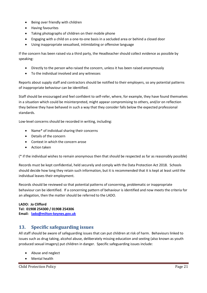- Being over friendly with children
- Having favourites
- Taking photographs of children on their mobile phone
- Engaging with a child on a one-to-one basis in a secluded area or behind a closed door
- Using inappropriate sexualised, intimidating or offensive language

If the concern has been raised via a third party, the Headteacher should collect evidence as possible by speaking:

- Directly to the person who raised the concern, unless it has been raised anonymously
- To the individual involved and any witnesses

Reports about supply staff and contractors should be notified to their employers, so any potential patterns of inappropriate behaviour can be identified.

Staff should be encouraged and feel confident to self-refer, where, for example, they have found themselves in a situation which could be misinterpreted, might appear compromising to others, and/or on reflection they believe they have behaved in such a way that they consider falls below the expected professional standards.

Low-level concerns should be recorded in writing, including:

- Name\* of individual sharing their concerns
- Details of the concern
- Context in which the concern arose
- Action taken

(\* if the individual wishes to remain anonymous then that should be respected as far as reasonably possible)

Records must be kept confidential, held securely and comply with the Data Protection Act 2018. Schools should decide how long they retain such information, but it is recommended that it is kept at least until the individual leaves their employment.

Records should be reviewed so that potential patterns of concerning, problematic or inappropriate behaviour can be identified. If a concerning pattern of behaviour is identified and now meets the criteria for an allegation, then the matter should be referred to the LADO.

**LADO: Jo Clifford Tel: 01908 254300 / 01908 254306 Email: [lado@milton-keynes.gov.uk](mailto:lado@milton-keynes.gov.uk)**

# <span id="page-20-0"></span>**13. Specific safeguarding issues**

All staff should be aware of safeguarding issues that can put children at risk of harm. Behaviours linked to issues such as drug taking, alcohol abuse, deliberately missing education and sexting (also known as youth produced sexual imagery) put children in danger. Specific safeguarding issues include:

- Abuse and neglect
- Mental health

Child Protection Policy Page 21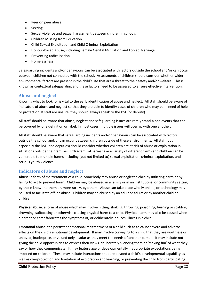- Peer on peer abuse
- Sexting
- Sexual violence and sexual harassment between children in schools
- Children Missing from Education
- Child Sexual Exploitation and Child Criminal Exploitation
- Honour-based Abuse, including Female Genital Mutilation and Forced Marriage
- Preventing radicalisation
- Homelessness

Safeguarding incidents and/or behaviours can be associated with factors outside the school and/or can occur between children not connected with the school. Assessments of children should consider whether wider environmental factors are present in the child's life that are a threat to their safety and/or welfare. This is known as contextual safeguarding and these factors need to be assessed to ensure effective intervention.

## <span id="page-21-0"></span>**Abuse and neglect**

Knowing what to look for is vital to the early identification of abuse and neglect. All staff should be aware of indicators of abuse and neglect so that they are able to identify cases of children who may be in need of help or protection. If staff are unsure, they should always speak to the DSL (or deputy).

All staff should be aware that abuse, neglect and safeguarding issues are rarely stand-alone events that can be covered by one definition or label. In most cases, multiple issues will overlap with one another.

All staff should be aware that safeguarding incidents and/or behaviours can be associated with factors outside the school and/or can occur between children outside of these environments. All staff, but especially the DSL (and deputies) should consider whether children are at risk of abuse or exploitation in situations outside their families. Extra-familial harms take a variety of different forms and children can be vulnerable to multiple harms including (but not limited to) sexual exploitation, criminal exploitation, and serious youth violence.

## <span id="page-21-1"></span>**Indicators of abuse and neglect**

**Abuse**: a form of maltreatment of a child. Somebody may abuse or neglect a child by inflicting harm or by failing to act to prevent harm. Children may be abused in a family or in an institutional or community setting by those known to them or, more rarely, by others. Abuse can take place wholly online, or technology may be used to facilitate offline abuse. Children may be abused by an adult or adults or by another child or children.

**Physical abuse:** a form of abuse which may involve hitting, shaking, throwing, poisoning, burning or scalding, drowning, suffocating or otherwise causing physical harm to a child. Physical harm may also be caused when a parent or carer fabricates the symptoms of, or deliberately induces, illness in a child.

**Emotional abuse:** the persistent emotional maltreatment of a child such as to cause severe and adverse effects on the child's emotional development. It may involve conveying to a child that they are worthless or unloved, inadequate, or valued only insofar as they meet the needs of another person. It may include not giving the child opportunities to express their views, deliberately silencing them or 'making fun' of what they say or how they communicate. It may feature age or developmentally inappropriate expectations being imposed on children. These may include interactions that are beyond a child's developmental capability as well as overprotection and limitation of exploration and learning, or preventing the child from participating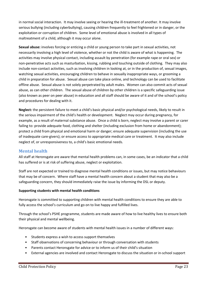in normal social interaction. It may involve seeing or hearing the ill-treatment of another. It may involve serious bullying (including cyberbullying), causing children frequently to feel frightened or in danger, or the exploitation or corruption of children. Some level of emotional abuse is involved in all types of maltreatment of a child, although it may occur alone.

**Sexual abuse:** involves forcing or enticing a child or young person to take part in sexual activities, not necessarily involving a high level of violence, whether or not the child is aware of what is happening. The activities may involve physical contact, including assault by penetration (for example rape or oral sex) or non-penetrative acts such as masturbation, kissing, rubbing and touching outside of clothing. They may also include non-contact activities, such as involving children in looking at, or in the production of, sexual images, watching sexual activities, encouraging children to behave in sexually inappropriate ways, or grooming a child in preparation for abuse. Sexual abuse can take place online, and technology can be used to facilitate offline abuse. Sexual abuse is not solely perpetrated by adult males. Women can also commit acts of sexual abuse, as can other children. The sexual abuse of children by other children is a specific safeguarding issue (also known as peer on peer abuse) in education and all staff should be aware of it and of the school's policy and procedures for dealing with it.

**Neglect:** the persistent failure to meet a child's basic physical and/or psychological needs, likely to result in the serious impairment of the child's health or development. Neglect may occur during pregnancy, for example, as a result of maternal substance abuse. Once a child is born, neglect may involve a parent or carer failing to: provide adequate food, clothing and shelter (including exclusion from home or abandonment); protect a child from physical and emotional harm or danger; ensure adequate supervision (including the use of inadequate care-givers); or ensure access to appropriate medical care or treatment. It may also include neglect of, or unresponsiveness to, a child's basic emotional needs.

# <span id="page-22-0"></span>**Mental health**

All staff at Heronsgate are aware that mental health problems can, in some cases, be an indicator that a child has suffered or is at risk of suffering abuse, neglect or exploitation.

Staff are not expected or trained to diagnose mental health conditions or issues, but may notice behaviours that may be of concern. Where staff have a mental health concern about a student that may also be a safeguarding concern, they should immediately raise the issue by informing the DSL or deputy.

#### **Supporting students with mental health conditions**

Heronsgate is committed to supporting children with mental health conditions to ensure they are able to fully access the school's curriculum and go on to live happy and fulfilled lives.

Through the school's PSHE programme, students are made aware of how to live healthy lives to ensure both their physical and mental wellbeing.

Heronsgate can become aware of students with mental health issues in a number of different ways:

- Students express a wish to access support themselves
- Staff observations of concerning behaviour or through conversation with students
- Parents contact Heronsgate for advice or to inform us of their child's situation
- External agencies are involved and contact Heronsgate to discuss the situation or in-school support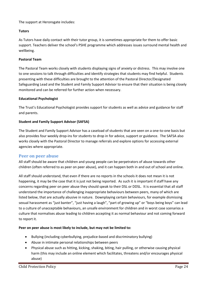The support at Heronsgate includes:

## **Tutors**

As Tutors have daily contact with their tutor group, it is sometimes appropriate for them to offer basic support. Teachers deliver the school's PSHE programme which addresses issues surround mental health and wellbeing.

## **Pastoral Team**

The Pastoral Team works closely with students displaying signs of anxiety or distress. This may involve one to one sessions to talk through difficulties and identify strategies that students may find helpful. Students presenting with these difficulties are brought to the attention of the Pastoral Director/Designated Safeguarding Lead and the Student and Family Support Advisor to ensure that their situation is being closely monitored and can be referred for further action when necessary.

#### **Educational Psychologist**

The Trust's Educational Psychologist provides support for students as well as advice and guidance for staff and parents.

#### **Student and Family Support Advisor (SAFSA)**

The Student and Family Support Advisor has a caseload of students that are seen on a one-to-one basis but also provides four weekly drop-ins for students to drop in for advice, support or guidance. The SAFSA also works closely with the Pastoral Director to manage referrals and explore options for accessing external agencies where appropriate.

#### <span id="page-23-0"></span>**Peer on peer abuse**

All staff should be aware that children and young people can be perpetrators of abuse towards other children (often referred to as peer on peer abuse), and it can happen both in and out of school and online.

All staff should understand, that even if there are no reports in the schools it does not mean it is not happening, it may be the case that it is just not being reported. As such it is important if staff have any concerns regarding peer on peer abuse they should speak to their DSL or DDSL. It is essential that all staff understand the importance of challenging inappropriate behaviours between peers, many of which are listed below, that are actually abusive in nature. Downplaying certain behaviours, for example dismissing sexual harassment as "just banter", "just having a laugh", "part of growing up" or "boys being boys" can lead to a culture of unacceptable behaviours, an unsafe environment for children and in worst case scenarios a culture that normalises abuse leading to children accepting it as normal behaviour and not coming forward to report it.

#### **Peer on peer abuse is most likely to include, but may not be limited to:**

- Bullying (including cyberbullying, prejudice-based and discriminatory bullying)
- Abuse in intimate personal relationships between peers
- Physical abuse such as hitting, kicking, shaking, biting, hair pulling, or otherwise causing physical harm (this may include an online element which facilitates, threatens and/or encourages physical abuse)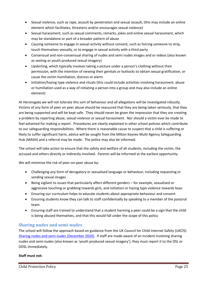- Sexual violence, such as rape, assault by penetration and sexual assault; (this may include an online element which facilitates, threatens and/or encourages sexual violence)
- Sexual harassment, such as sexual comments, remarks, jokes and online sexual harassment, which may be standalone or part of a broader pattern of abuse
- Causing someone to engage in sexual activity without consent, such as forcing someone to strip, touch themselves sexually, or to engage in sexual activity with a third party
- Consensual and non-consensual sharing of nudes and semi nudes images and or videos (also known as sexting or youth produced sexual imagery)
- Upskirting, which typically involves taking a picture under a person's clothing without their permission, with the intention of viewing their genitals or buttocks to obtain sexual gratification, or cause the victim humiliation, distress or alarm
- Initiation/hazing type violence and rituals (this could include activities involving harassment, abuse or humiliation used as a way of initiating a person into a group and may also include an online element)

At Heronsgate we will not tolerate this sort of behaviour and all allegations will be investigated robustly. Victims of any form of peer on peer abuse should be reassured that they are being taken seriously, that they are being supported and will be kept safe. They should never be given the impression that they are creating a problem by reporting abuse, sexual violence or sexual harassment. Nor should a victim ever be made to feel ashamed for making a report. Procedures are clearly explained in other school policies which contribute to our safeguarding responsibilities. Where there is reasonable cause to suspect that a child is suffering or likely to suffer significant harm, advice will be sought from the Milton Keynes Multi Agency Safeguarding Hub (MASH) and a referral may be made. The police may also be informed.

The school will take action to ensure that the safety and welfare of all students, including the victim, the accused and others directly or indirectly involved. Parents will be informed at the earliest opportunity.

We will minimise the risk of peer-on-peer abuse by:

- Challenging any form of derogatory or sexualised language or behaviour, including requesting or sending sexual images
- Being vigilant to issues that particularly affect different genders for example, sexualised or aggressive touching or grabbing towards girls, and initiation or hazing type violence towards boys
- Ensuring our curriculum helps to educate students about appropriate behaviour and consent
- Ensuring students know they can talk to staff confidentially by speaking to a member of the pastoral team.
- Ensuring staff are trained to understand that a student harming a peer could be a sign that the child is being abused themselves, and that this would fall under the scope of this policy

# <span id="page-24-0"></span>**Sharing nudes and semi-nudes**

The school will follow the approach based on guidance from the UK Council for Child Internet Safety (UKCIS) [Sharing nudes and semi-nudes \(December 2020\).](https://assets.publishing.service.gov.uk/government/uploads/system/uploads/attachment_data/file/1008443/UKCIS_sharing_nudes_and_semi_nudes_advice_for_education_settings__Web_accessible_.pdf) If staff are made aware of an incident involving sharing nudes and semi-nudes (also known as 'youth produced sexual imagery'), they must report it to the DSL or DDSL immediately.

## **Staff must not:**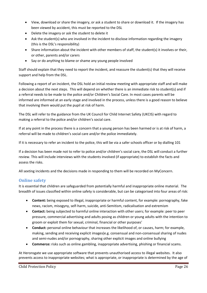- View, download or share the imagery, or ask a student to share or download it. If the imagery has been viewed by accident, this must be reported to the DSL
- Delete the imagery or ask the student to delete it
- Ask the student(s) who are involved in the incident to disclose information regarding the imagery (this is the DSL's responsibility)
- Share information about the incident with other members of staff, the student(s) it involves or their, or other, parents and/or carers
- Say or do anything to blame or shame any young people involved

Staff should explain that they need to report the incident, and reassure the student(s) that they will receive support and help from the DSL.

Following a report of an incident, the DSL hold an initial review meeting with appropriate staff and will make a decision about the next steps. This will depend on whether there is an immediate risk to student(s) and if a referral needs to be made to the police and/or Children's Social Care. In most cases parents will be informed are informed at an early stage and involved in the process, unless there is a good reason to believe that involving them would put the pupil at risk of harm.

The DSL will refer to the guidance from the UK Council for Child Internet Safety (UKCIS) with regard to making a referral to the police and/or children's social care.

If at any point in the process there is a concern that a young person has been harmed or is at risk of harm, a referral will be made to children's social care and/or the police immediately.

If it is necessary to refer an incident to the police, this will be via a safer schools officer or by dialling 101

If a decision has been made not to refer to police and/or children's social care, the DSL will conduct a further review. This will include interviews with the students involved (if appropriate) to establish the facts and assess the risks.

All sexting incidents and the decisions made in responding to them will be recorded on MyConcern.

# <span id="page-25-0"></span>**Online safety**

It is essential that children are safeguarded from potentially harmful and inappropriate online material. The breadth of issues classified within online safety is considerable, but can be categorised into four areas of risk:

- **Content:** being exposed to illegal, inappropriate or harmful content, for example: pornography, fake news, racism, misogyny, self-harm, suicide, anti-Semitism, radicalisation and extremism
- **Contact:** being subjected to harmful online interaction with other users; for example: peer to peer pressure, commercial advertising and adults posing as children or young adults with the intention to groom or exploit them for sexual, criminal, financial or other purposes'
- **Conduct:** personal online behaviour that increases the likelihood of, or causes, harm; for example, making, sending and receiving explicit images(e.g. consensual and non-consensual sharing of nudes and semi-nudes and/or pornography, sharing other explicit images and online bullying
- **Commerce:** risks such as online gambling, inappropriate advertising, phishing or financial scams.

At Heronsgate we use appropriate software that prevents unauthorised access to illegal websites. It also prevents access to inappropriate websites; what is appropriate, or inappropriate is determined by the age of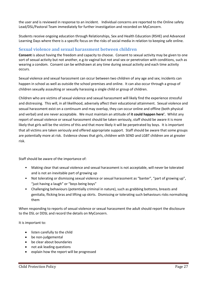the user and is reviewed in response to an incident. Individual concerns are reported to the Online safety Lead/DSL/Pastoral Team immediately for further investigation and recorded on MyConcern.

Students receive ongoing education through Relationships, Sex and Health Education (RSHE) and Advanced Learning Days where there is a specific focus on the risks of social media in relation to keeping safe online.

## <span id="page-26-0"></span>**Sexual violence and sexual harassment between children**

**Consent** is about having the freedom and capacity to choose. Consent to sexual activity may be given to one sort of sexual activity but not another, e.g.to vaginal but not anal sex or penetration with conditions, such as wearing a condom. Consent can be withdrawn at any time during sexual activity and each time activity occurs.

Sexual violence and sexual harassment can occur between two children of any age and sex; incidents can happen in school as well as outside the school premises and online. It can also occur through a group of children sexually assaulting or sexually harassing a single child or group of children.

Children who are victims of sexual violence and sexual harassment will likely find the experience stressful and distressing. This will, in all likelihood, adversely affect their educational attainment. Sexual violence and sexual harassment exist on a continuum and may overlap, they can occur online and offline (both physical and verbal) and are never acceptable. We must maintain an attitude of **it could happen here'.** Whilst any report of sexual violence or sexual harassment should be taken seriously, staff should be aware it is more likely that girls will be the victims of this and that more likely it will be perpetrated by boys. It is important that all victims are taken seriously and offered appropriate support. Staff should be aware that some groups are potentially more at risk. Evidence shows that girls, children with SEND and LGBT children are at greater risk.

Staff should be aware of the importance of:

- Making clear that sexual violence and sexual harassment is not acceptable, will never be tolerated and is not an inevitable part of growing up
- Not tolerating or dismissing sexual violence or sexual harassment as "banter", "part of growing up", "just having a laugh" or "boys being boys"
- Challenging behaviours (potentially criminal in nature), such as grabbing bottoms, breasts and genitalia, flicking bras and lifting up skirts. Dismissing or tolerating such behaviours risks normalising them

When responding to reports of sexual violence or sexual harassment the adult should report the disclosure to the DSL or DDSL and record the details on MyConcern.

It is important to:

- listen carefully to the child
- be non-judgemental
- be clear about boundaries
- not ask leading questions
- explain how the report will be progressed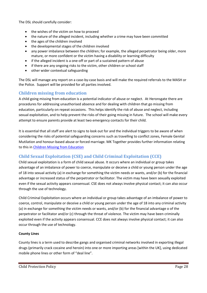The DSL should carefully consider:

- the wishes of the victim on how to proceed
- the nature of the alleged incident, including whether a crime may have been committed
- the ages of the children involved
- the developmental stages of the children involved
- any power imbalance between the children; for example, the alleged perpetrator being older, more mature, or more confident or the victim having a disability or learning difficulty
- if the alleged incident is a one-off or part of a sustained pattern of abuse
- if there are any ongoing risks to the victim, other children or school staff
- other wider contextual safeguarding

The DSL will manage any report on a case-by-case basis and will make the required referrals to the MASH or the Police. Support will be provided for all parties involved.

# <span id="page-27-0"></span>**Children missing from education**

A child going missing from education is a potential indicator of abuse or neglect. At Heronsgate there are procedures for addressing unauthorised absence and for dealing with children that go missing from education, particularly on repeat occasions. This helps identify the risk of abuse and neglect, including sexual exploitation, and to help prevent the risks of their going missing in future. The school will make every attempt to ensure parents provide at least two emergency contacts for their child.

It is essential that all staff are alert to signs to look out for and the individual triggers to be aware of when considering the risks of potential safeguarding concerns such as travelling to conflict zones, Female Genital Mutilation and honour-based abuse or forced marriage. MK Together provides further information relating to this i[n Children Missing from Education](http://mkscb.procedures.org.uk/ykylq/assessing-need-and-providing-help/additional-practice-guidance/children-missing-from-education) 

# <span id="page-27-1"></span>**Child Sexual Exploitation (CSE) and Child Criminal Exploitation (CCE)**

Child sexual exploitation is a form of child sexual abuse. It occurs where an individual or group takes advantage of an imbalance of power to coerce, manipulate or deceive a child or young person under the age of 18 into sexual activity (a) in exchange for something the victim needs or wants, and/or (b) for the financial advantage or increased status of the perpetrator or facilitator. The victim may have been sexually exploited even if the sexual activity appears consensual. CSE does not always involve physical contact; it can also occur through the use of technology.

Child Criminal Exploitation occurs where an individual or group takes advantage of an imbalance of power to coerce, control, manipulate or deceive a child or young person under the age of 18 into any criminal activity (a) in exchange for something the victim needs or wants, and/or (b) for the financial advantage o of the perpetrator or facilitator and/or (c) through the threat of violence. The victim may have been criminally exploited even if the activity appears consensual. CCE does not always involve physical contact; it can also occur through the use of technology.

#### **County Lines**

County lines is a term used to describe gangs and organised criminal networks involved in exporting illegal drugs (primarily crack cocaine and heroin) into one or more importing areas [within the UK], using dedicated mobile phone lines or other form of "deal line".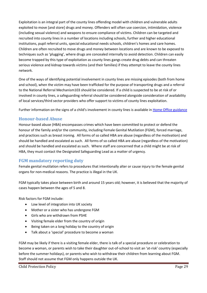Exploitation is an integral part of the county lines offending model with children and vulnerable adults exploited to move [and store] drugs and money. Offenders will often use coercion, intimidation, violence (including sexual violence) and weapons to ensure compliance of victims. Children can be targeted and recruited into county lines in a number of locations including schools, further and higher educational institutions, pupil referral units, special educational needs schools, children's homes and care homes. Children are often recruited to move drugs and money between locations and are known to be exposed to techniques such as 'plugging', where drugs are concealed internally to avoid detection. Children can easily become trapped by this type of exploitation as county lines gangs create drug debts and can threaten serious violence and kidnap towards victims (and their families) if they attempt to leave the county lines network.

One of the ways of identifying potential involvement in county lines are missing episodes (both from home and school), when the victim may have been trafficked for the purpose of transporting drugs and a referral to the National Referral Mechanism103 should be considered. If a child is suspected to be at risk of or involved in county lines, a safeguarding referral should be considered alongside consideration of availability of local services/third sector providers who offer support to victims of county lines exploitation.

Further information on the signs of a child's involvement in county lines is available i[n Home Office guidance](https://assets.publishing.service.gov.uk/government/uploads/system/uploads/attachment_data/file/863323/HOCountyLinesGuidance_-_Sept2018.pdf)

# <span id="page-28-0"></span>**Honour-based Abuse**

Honour-based abuse (HBA) encompasses crimes which have been committed to protect or defend the honour of the family and/or the community, including Female Genital Mutilation (FGM), forced marriage, and practices such as breast ironing. All forms of so called HBA are abuse (regardless of the motivation) and should be handled and escalated as such. All forms of so called HBA are abuse (regardless of the motivation) and should be handled and escalated as such. Where staff are concerned that a child might be at risk of HBA, they must contact the Designated Safeguarding Lead as a matter of urgency.

# <span id="page-28-1"></span>**FGM mandatory reporting duty**

Female genital mutilation refers to procedures that intentionally alter or cause injury to the female genital organs for non-medical reasons. The practice is illegal in the UK.

FGM typically takes place between birth and around 15 years old; however, it is believed that the majority of cases happen between the ages of 5 and 8.

Risk factors for FGM include:

- Low level of integration into UK society
- Mother or a sister who has undergone FGM
- Girls who are withdrawn from PSHE
- Visiting female elder from the country of origin
- Being taken on a long holiday to the country of origin
- Talk about a 'special' procedure to become a woman

FGM may be likely if there is a visiting female elder, there is talk of a special procedure or celebration to become a woman, or parents wish to take their daughter out-of-school to visit an 'at-risk' country (especially before the summer holidays), or parents who wish to withdraw their children from learning about FGM. Staff should not assume that FGM only happens outside the UK.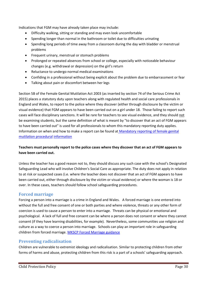Indications that FGM may have already taken place may include:

- Difficulty walking, sitting or standing and may even look uncomfortable
- Spending longer than normal in the bathroom or toilet due to difficulties urinating
- Spending long periods of time away from a classroom during the day with bladder or menstrual problems
- **•** Frequent urinary, menstrual or stomach problems
- Prolonged or repeated absences from school or college, especially with noticeable behaviour changes (e.g. withdrawal or depression) on the girl's return
- Reluctance to undergo normal medical examinations
- Confiding in a professional without being explicit about the problem due to embarrassment or fear
- Talking about pain or discomfort between her legs

Section 5B of the Female Genital Mutilation Act 2003 (as inserted by section 74 of the Serious Crime Act 2015) places a statutory duty upon teachers along with regulated health and social care professionals in England and Wales, to report to the police where they discover (either through disclosure by the victim or visual evidence) that FGM appears to have been carried out on a girl under 18. Those failing to report such cases will face disciplinary sanctions. It will be rare for teachers to see visual evidence, and they should not be examining students, but the same definition of what is meant by "to discover that an act of FGM appears to have been carried out" is used for all professionals to whom this mandatory reporting duty applies. Information on when and how to make a report can be found a[t Mandatory reporting of female genital](https://www.gov.uk/government/publications/mandatory-reporting-of-female-genital-mutilation-procedural-information)  [mutilation procedural](https://www.gov.uk/government/publications/mandatory-reporting-of-female-genital-mutilation-procedural-information) [information](https://www.gov.uk/government/publications/mandatory-reporting-of-female-genital-mutilation-procedural-information)

## **Teachers must personally report to the police cases where they discover that an act of FGM appears to have been carried out.**

Unless the teacher has a good reason not to, they should discuss any such case with the school's Designated Safeguarding Lead who will involve Children's Social Care as appropriate. The duty does not apply in relation to at risk or suspected cases (i.e. where the teacher does not discover that an act of FGM appears to have been carried out, either through disclosure by the victim or visual evidence) or where the woman is 18 or over. In these cases, teachers should follow school safeguarding procedures.

## <span id="page-29-0"></span>**Forced marriage**

Forcing a person into a marriage is a crime in England and Wales. A forced marriage is one entered into without the full and free consent of one or both parties and where violence, threats or any other form of coercion is used to cause a person to enter into a marriage. Threats can be physical or emotional and psychological. A lack of full and free consent can be where a person does not consent or where they cannot consent (if they have learning disabilities, for example). Nevertheless, some communities use religion and culture as a way to coerce a person into marriage. Schools can play an important role in safeguarding children from forced marriage. [MKSCP Forced Marriage guidance](http://mkscb.procedures.org.uk/ykpxq/assessing-need-and-providing-help/additional-practice-guidance/forced-marriage) 

# <span id="page-29-1"></span>**Preventing radicalisation**

Children are vulnerable to extremist ideology and radicalisation. Similar to protecting children from other forms of harms and abuse, protecting children from this risk is a part of a schools' safeguarding approach.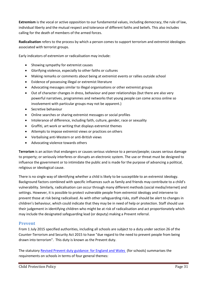**Extremism** is the vocal or active opposition to our fundamental values, including democracy, the rule of law, individual liberty and the mutual respect and tolerance of different faiths and beliefs. This also includes calling for the death of members of the armed forces.

**Radicalisation** refers to the process by which a person comes to support terrorism and extremist ideologies associated with terrorist groups.

Early indicators of extremism or radicalisation may include:

- Showing sympathy for extremist causes
- Glorifying violence, especially to other faiths or cultures
- Making remarks or comments about being at extremist events or rallies outside school
- Evidence of possessing illegal or extremist literature
- Advocating messages similar to illegal organisations or other extremist groups
- Out of character changes in dress, behaviour and peer relationships (but there are also very powerful narratives, programmes and networks that young people can come across online so involvement with particular groups may not be apparent.)
- Secretive behaviour
- Online searches or sharing extremist messages or social profiles
- Intolerance of difference, including faith, culture, gender, race or sexuality
- Graffiti, art work or writing that displays extremist themes
- Attempts to impose extremist views or practices on others
- Verbalising anti-Western or anti-British views
- Advocating violence towards others

**Terrorism** is an action that endangers or causes serious violence to a person/people; causes serious damage to property; or seriously interferes or disrupts an electronic system. The use or threat must be designed to influence the government or to intimidate the public and is made for the purpose of advancing a political, religious or ideological cause.

There is no single way of identifying whether a child is likely to be susceptible to an extremist ideology. Background factors combined with specific influences such as family and friends may contribute to a child's vulnerability. Similarly, radicalisation can occur through many different methods (social media/internet) and settings. However, it is possible to protect vulnerable people from extremist ideology and intervene to prevent those at risk being radicalised. As with other safeguarding risks, staff should be alert to changes in children's behaviour, which could indicate that they may be in need of help or protection. Staff should use their judgement in identifying children who might be at risk of radicalisation and act proportionately which may include the designated safeguarding lead (or deputy) making a Prevent referral.

## <span id="page-30-0"></span>**Prevent**

From 1 July 2015 specified authorities, including all schools are subject to a duty under section 26 of the Counter-Terrorism and Security Act 2015 to have "due regard to the need to prevent people from being drawn into terrorism". This duty is known as the Prevent duty.

The statutor[y Revised Prevent duty guidance: for England and Wales \(](https://www.gov.uk/government/publications/prevent-duty-guidance)for schools) summarises the requirements on schools in terms of four general themes: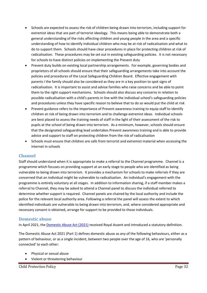- Schools are expected to assess the risk of children being drawn into terrorism, including support for extremist ideas that are part of terrorist ideology. This means being able to demonstrate both a general understanding of the risks affecting children and young people in the area and a specific understanding of how to identify individual children who may be at risk of radicalisation and what to do to support them. Schools should have clear procedures in place for protecting children at risk of radicalisation. These procedures may be set out in existing safeguarding policies. It is not necessary for schools to have distinct policies on implementing the Prevent duty
- Prevent duty builds on existing local partnership arrangements. For example, governing bodies and proprietors of all schools should ensure that their safeguarding arrangements take into account the policies and procedures of the Local Safeguarding Children Board. Effective engagement with parents *I* the family should also be considered as they are in a key position to spot signs of radicalisation. It is important to assist and advise families who raise concerns and be able to point them to the right support mechanisms. Schools should also discuss any concerns in relation to possible radicalisation with a child's parents in line with the individual school's safeguarding policies and procedures unless they have specific reason to believe that to do so would put the child at risk
- Prevent guidance refers to the importance of Prevent awareness training to equip staff to identify children at risk of being drawn into terrorism and to challenge extremist ideas. Individual schools are best placed to assess the training needs of staff in the light of their assessment of the risk to pupils at the school of being drawn into terrorism. As a minimum, however, schools should ensure that the designated safeguarding lead undertakes Prevent awareness training and is able to provide advice and support to staff on protecting children from the risk of radicalisation
- Schools must ensure that children are safe from terrorist and extremist material when accessing the internet in schools

## <span id="page-31-0"></span>**Channel**

Staff should understand when it is appropriate to make a referral to the Channel programme. Channel is a programme which focuses on providing support at an early stage to people who are identified as being vulnerable to being drawn into terrorism. It provides a mechanism for schools to make referrals if they are concerned that an individual might be vulnerable to radicalisation. An individual's engagement with the programme is entirely voluntary at all stages. In addition to information sharing, if a staff member makes a referral to Channel, they may be asked to attend a Channel panel to discuss the individual referred to determine whether support is required. Channel panels are chaired by the local authority and include the police for the relevant local authority area. Following a referral the panel will assess the extent to which identified individuals are vulnerable to being drawn into terrorism, and, where considered appropriate and necessary consent is obtained, arrange for support to be provided to those individuals.

## <span id="page-31-1"></span>**Domestic abuse**

In April 2021, th[e Domestic Abuse Act \(2021\)](https://www.legislation.gov.uk/ukpga/2021/17/part/1/enacted) received Royal Assent and introduced a statutory definition.

The Domestic Abuse Act 2021 (Part 1) defines domestic abuse as any of the following behaviours, either as a pattern of behaviour, or as a single incident, between two people over the age of 16, who are 'personally connected' to each other:

- Physical or sexual abuse
- Violent or threatening behaviour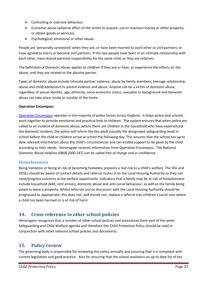- Controlling or coercive behaviour
- Economic abuse (adverse effect of the victim to acquire, use or maintain money or other property; or obtain goods or services)
- Psychological, emotional or other abuse.

People are 'personally connected' when they are, or have been married to each other or civil partners; or have agreed to marry or become civil partners. If the two people have been in an intimate relationship with each other, have shared parental responsibility for the same child, or they are relatives.

The definition of Domestic Abuse applies to children if they see or hear, or experience the effects of, the abuse; and they are related to the abusive person.

Types of domestic abuse include intimate partner violence, abuse by family members, teenage relationship abuse and child/adolescent to parent violence and abuse. Anyone can be a victim of domestic abuse, regardless of sexual identity, age, ethnicity, socio-economic status, sexuality or background and domestic abuse can take place inside or outside of the home.

#### **Operation Encompass**

[Operation Encompass](https://www.operationencompass.org/) operates in the majority of police forces across England. It helps police and schools work together to provide emotional and practical help to children. The system ensures that when police are called to an incident of domestic abuse, where there are children in the household who have experienced the domestic incident, the police will inform the key adult (usually the designated safeguarding lead) in school before the child or children arrive at school the following day. This ensures that the school has up to date relevant information about the child's circumstances and can enable support to be given to the child according to their needs. Heronsgate receives information from Operation Encompass. The National Domestic Abuse helpline (0808 2000 247) can be called free of charge and in confidence.

## <span id="page-32-0"></span>**Homelessness**

Being homeless or being at risk of becoming homeless presents a real risk to a child's welfare. The DSL and DDSLs should be aware of contact details and referral routes in to the Local Housing Authority so they can raise/progress concerns at the earliest opportunity. Indicators that a family may be at risk of homelessness include household debt, rent arrears, domestic abuse and anti-social behaviour, as well as the family being asked to leave a property. Whilst referrals and or discussion with the Local Housing Authority should be progressed as appropriate, this does not, and should not, replace a referral into children's social care where a child has been harmed or is at risk of harm.

# <span id="page-32-1"></span>**14. Cross reference to other school policies**

Heronsgate recognises that a number of other school policies and procedures form part of the wider Safeguarding and Child Welfare agenda and therefore this Child Protection Policy should be read in conjunction with other relevant school policies and documents.

# <span id="page-32-2"></span>**15. Policy review**

The governing body is responsible for reviewing this policy annually and ensuring that it is compliant with current legislation and good practice. Also for ensuring that the school maintains an up to date list of key